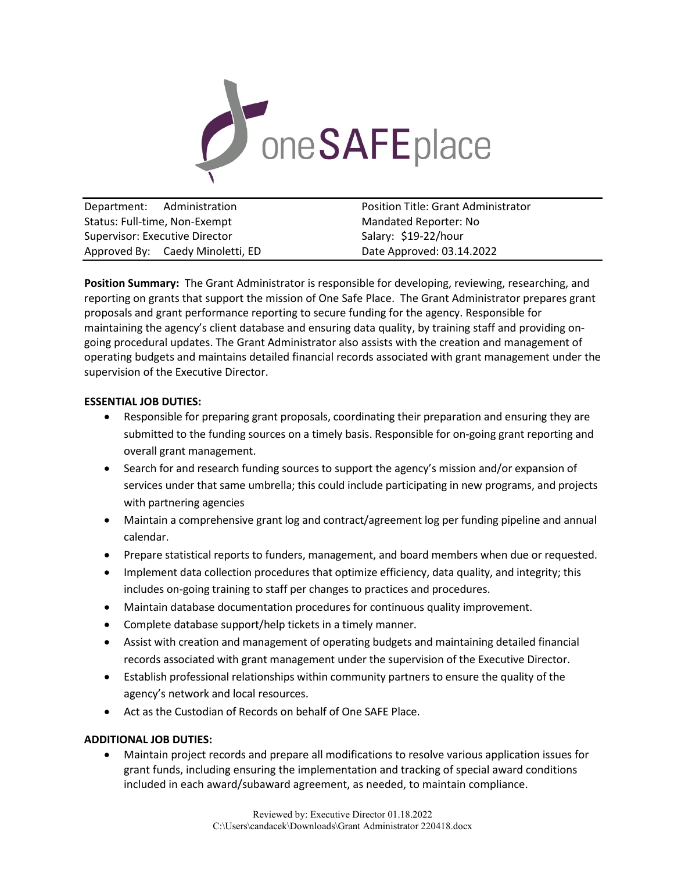

| Department: Administration       | <b>Position Title: Grant Administrator</b> |
|----------------------------------|--------------------------------------------|
| Status: Full-time, Non-Exempt    | Mandated Reporter: No                      |
| Supervisor: Executive Director   | Salary: \$19-22/hour                       |
| Approved By: Caedy Minoletti, ED | Date Approved: 03.14.2022                  |

**Position Summary:** The Grant Administrator is responsible for developing, reviewing, researching, and reporting on grants that support the mission of One Safe Place. The Grant Administrator prepares grant proposals and grant performance reporting to secure funding for the agency. Responsible for maintaining the agency's client database and ensuring data quality, by training staff and providing ongoing procedural updates. The Grant Administrator also assists with the creation and management of operating budgets and maintains detailed financial records associated with grant management under the supervision of the Executive Director.

# **ESSENTIAL JOB DUTIES:**

- Responsible for preparing grant proposals, coordinating their preparation and ensuring they are submitted to the funding sources on a timely basis. Responsible for on-going grant reporting and overall grant management.
- Search for and research funding sources to support the agency's mission and/or expansion of services under that same umbrella; this could include participating in new programs, and projects with partnering agencies
- Maintain a comprehensive grant log and contract/agreement log per funding pipeline and annual calendar.
- Prepare statistical reports to funders, management, and board members when due or requested.
- Implement data collection procedures that optimize efficiency, data quality, and integrity; this includes on-going training to staff per changes to practices and procedures.
- Maintain database documentation procedures for continuous quality improvement.
- Complete database support/help tickets in a timely manner.
- Assist with creation and management of operating budgets and maintaining detailed financial records associated with grant management under the supervision of the Executive Director.
- Establish professional relationships within community partners to ensure the quality of the agency's network and local resources.
- Act as the Custodian of Records on behalf of One SAFE Place.

# **ADDITIONAL JOB DUTIES:**

• Maintain project records and prepare all modifications to resolve various application issues for grant funds, including ensuring the implementation and tracking of special award conditions included in each award/subaward agreement, as needed, to maintain compliance.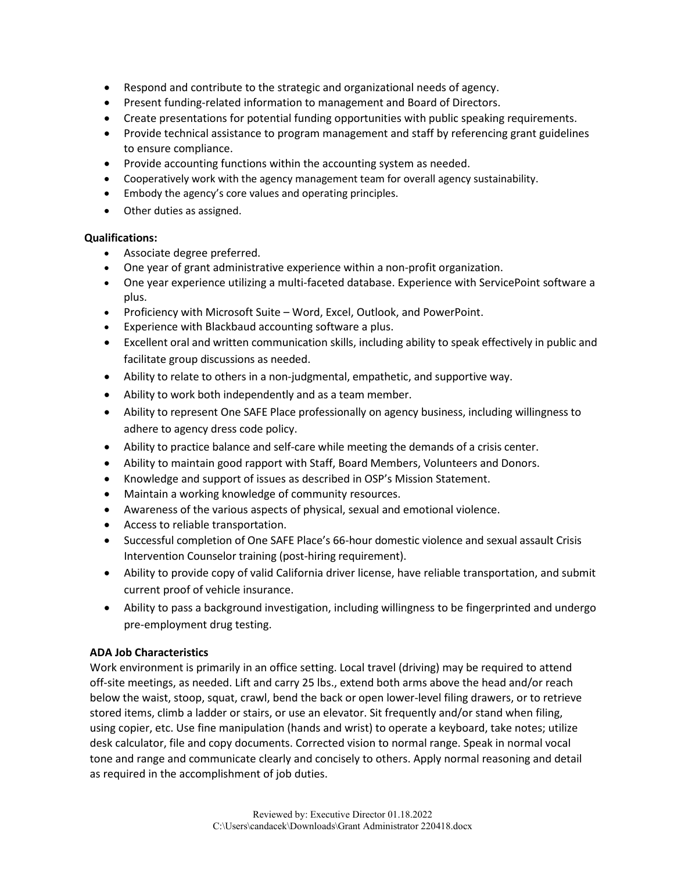- Respond and contribute to the strategic and organizational needs of agency.
- Present funding-related information to management and Board of Directors.
- Create presentations for potential funding opportunities with public speaking requirements.
- Provide technical assistance to program management and staff by referencing grant guidelines to ensure compliance.
- Provide accounting functions within the accounting system as needed.
- Cooperatively work with the agency management team for overall agency sustainability.
- Embody the agency's core values and operating principles.
- Other duties as assigned.

# **Qualifications:**

- Associate degree preferred.
- One year of grant administrative experience within a non-profit organization.
- One year experience utilizing a multi-faceted database. Experience with ServicePoint software a plus.
- Proficiency with Microsoft Suite Word, Excel, Outlook, and PowerPoint.
- Experience with Blackbaud accounting software a plus.
- Excellent oral and written communication skills, including ability to speak effectively in public and facilitate group discussions as needed.
- Ability to relate to others in a non-judgmental, empathetic, and supportive way.
- Ability to work both independently and as a team member.
- Ability to represent One SAFE Place professionally on agency business, including willingness to adhere to agency dress code policy.
- Ability to practice balance and self-care while meeting the demands of a crisis center.
- Ability to maintain good rapport with Staff, Board Members, Volunteers and Donors.
- Knowledge and support of issues as described in OSP's Mission Statement.
- Maintain a working knowledge of community resources.
- Awareness of the various aspects of physical, sexual and emotional violence.
- Access to reliable transportation.
- Successful completion of One SAFE Place's 66-hour domestic violence and sexual assault Crisis Intervention Counselor training (post-hiring requirement).
- Ability to provide copy of valid California driver license, have reliable transportation, and submit current proof of vehicle insurance.
- Ability to pass a background investigation, including willingness to be fingerprinted and undergo pre-employment drug testing.

# **ADA Job Characteristics**

Work environment is primarily in an office setting. Local travel (driving) may be required to attend off-site meetings, as needed. Lift and carry 25 lbs., extend both arms above the head and/or reach below the waist, stoop, squat, crawl, bend the back or open lower-level filing drawers, or to retrieve stored items, climb a ladder or stairs, or use an elevator. Sit frequently and/or stand when filing, using copier, etc. Use fine manipulation (hands and wrist) to operate a keyboard, take notes; utilize desk calculator, file and copy documents. Corrected vision to normal range. Speak in normal vocal tone and range and communicate clearly and concisely to others. Apply normal reasoning and detail as required in the accomplishment of job duties.